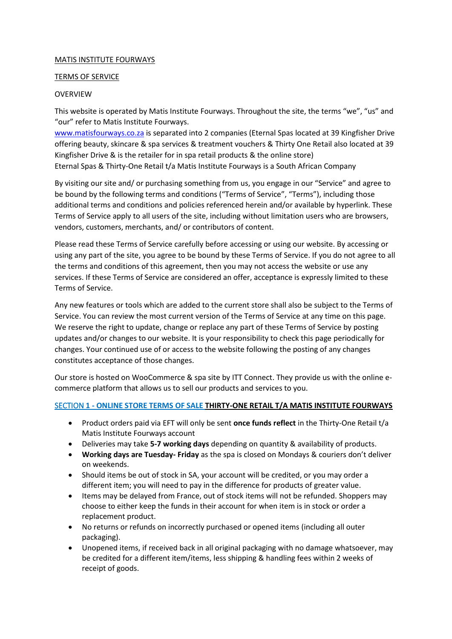# MATIS INSTITUTE FOURWAYS

### TERMS OF SERVICE

### OVERVIEW

This website is operated by Matis Institute Fourways. Throughout the site, the terms "we", "us" and "our" refer to Matis Institute Fourways.

[www.matisfourways.co.za](http://www.matisfourways.co.za/) is separated into 2 companies (Eternal Spas located at 39 Kingfisher Drive offering beauty, skincare & spa services & treatment vouchers & Thirty One Retail also located at 39 Kingfisher Drive & is the retailer for in spa retail products & the online store) Eternal Spas & Thirty-One Retail t/a Matis Institute Fourways is a South African Company

By visiting our site and/ or purchasing something from us, you engage in our "Service" and agree to be bound by the following terms and conditions ("Terms of Service", "Terms"), including those additional terms and conditions and policies referenced herein and/or available by hyperlink. These Terms of Service apply to all users of the site, including without limitation users who are browsers, vendors, customers, merchants, and/ or contributors of content.

Please read these Terms of Service carefully before accessing or using our website. By accessing or using any part of the site, you agree to be bound by these Terms of Service. If you do not agree to all the terms and conditions of this agreement, then you may not access the website or use any services. If these Terms of Service are considered an offer, acceptance is expressly limited to these Terms of Service.

Any new features or tools which are added to the current store shall also be subject to the Terms of Service. You can review the most current version of the Terms of Service at any time on this page. We reserve the right to update, change or replace any part of these Terms of Service by posting updates and/or changes to our website. It is your responsibility to check this page periodically for changes. Your continued use of or access to the website following the posting of any changes constitutes acceptance of those changes.

Our store is hosted on WooCommerce & spa site by ITT Connect. They provide us with the online ecommerce platform that allows us to sell our products and services to you.

# SECTION **1 - ONLINE STORE TERMS OF SALE THIRTY-ONE RETAIL T/A MATIS INSTITUTE FOURWAYS**

- Product orders paid via EFT will only be sent **once funds reflect** in the Thirty-One Retail t/a Matis Institute Fourways account
- Deliveries may take **5-7 working days** depending on quantity & availability of products.
- **Working days are Tuesday- Friday** as the spa is closed on Mondays & couriers don't deliver on weekends.
- Should items be out of stock in SA, your account will be credited, or you may order a different item; you will need to pay in the difference for products of greater value.
- Items may be delayed from France, out of stock items will not be refunded. Shoppers may choose to either keep the funds in their account for when item is in stock or order a replacement product.
- No returns or refunds on incorrectly purchased or opened items (including all outer packaging).
- Unopened items, if received back in all original packaging with no damage whatsoever, may be credited for a different item/items, less shipping & handling fees within 2 weeks of receipt of goods.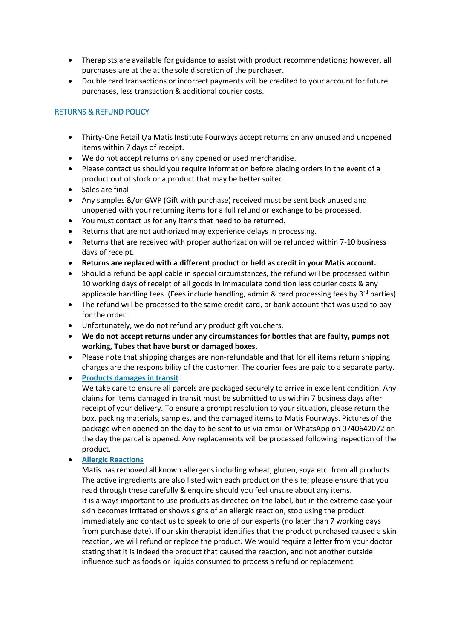- Therapists are available for guidance to assist with product recommendations; however, all purchases are at the at the sole discretion of the purchaser.
- Double card transactions or incorrect payments will be credited to your account for future purchases, less transaction & additional courier costs.

# RETURNS & REFUND POLICY

- Thirty-One Retail t/a Matis Institute Fourways accept returns on any unused and unopened items within 7 days of receipt.
- We do not accept returns on any opened or used merchandise.
- Please contact us should you require information before placing orders in the event of a product out of stock or a product that may be better suited.
- Sales are final
- Any samples &/or GWP (Gift with purchase) received must be sent back unused and unopened with your returning items for a full refund or exchange to be processed.
- You must contact us for any items that need to be returned.
- Returns that are not authorized may experience delays in processing.
- Returns that are received with proper authorization will be refunded within 7-10 business days of receipt.
- **Returns are replaced with a different product or held as credit in your Matis account.**
- Should a refund be applicable in special circumstances, the refund will be processed within 10 working days of receipt of all goods in immaculate condition less courier costs & any applicable handling fees. (Fees include handling, admin & card processing fees by 3<sup>rd</sup> parties)
- The refund will be processed to the same credit card, or bank account that was used to pay for the order.
- Unfortunately, we do not refund any product gift vouchers.
- **We do not accept returns under any circumstances for bottles that are faulty, pumps not working, Tubes that have burst or damaged boxes.**
- Please note that shipping charges are non-refundable and that for all items return shipping charges are the responsibility of the customer. The courier fees are paid to a separate party.

• **Products damages in transit**

We take care to ensure all parcels are packaged securely to arrive in excellent condition. Any claims for items damaged in transit must be submitted to us within 7 business days after receipt of your delivery. To ensure a prompt resolution to your situation, please return the box, packing materials, samples, and the damaged items to Matis Fourways. Pictures of the package when opened on the day to be sent to us via email or WhatsApp on 0740642072 on the day the parcel is opened. Any replacements will be processed following inspection of the product.

• **Allergic Reactions**

Matis has removed all known allergens including wheat, gluten, soya etc. from all products. The active ingredients are also listed with each product on the site; please ensure that you read through these carefully & enquire should you feel unsure about any items. It is always important to use products as directed on the label, but in the extreme case your skin becomes irritated or shows signs of an allergic reaction, stop using the product immediately and contact us to speak to one of our experts (no later than 7 working days from purchase date). If our skin therapist identifies that the product purchased caused a skin reaction, we will refund or replace the product. We would require a letter from your doctor stating that it is indeed the product that caused the reaction, and not another outside influence such as foods or liquids consumed to process a refund or replacement.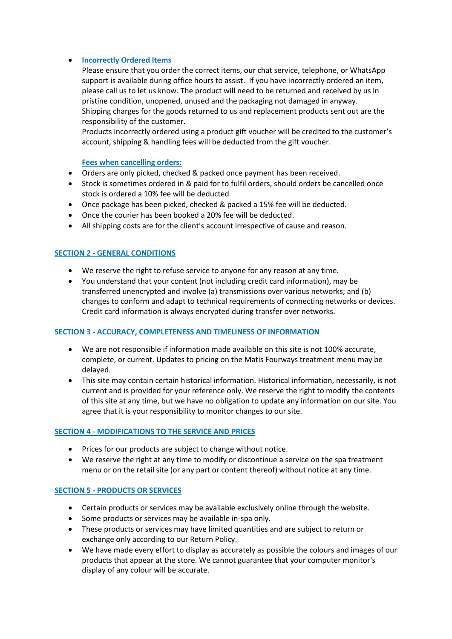# • **Incorrectly Ordered Items**

Please ensure that you order the correct items, our chat service, telephone, or WhatsApp support is available during office hours to assist. If you have incorrectly ordered an item, please call us to let us know. The product will need to be returned and received by us in pristine condition, unopened, unused and the packaging not damaged in anyway. Shipping charges for the goods returned to us and replacement products sent out are the responsibility of the customer.

Products incorrectly ordered using a product gift voucher will be credited to the customer's account, shipping & handling fees will be deducted from the gift voucher.

#### **Fees when cancelling orders:**

- Orders are only picked, checked & packed once payment has been received.
- Stock is sometimes ordered in & paid for to fulfil orders, should orders be cancelled once stock is ordered a 10% fee will be deducted
- Once package has been picked, checked & packed a 15% fee will be deducted.
- Once the courier has been booked a 20% fee will be deducted.
- All shipping costs are for the client's account irrespective of cause and reason.

#### **SECTION 2 - GENERAL CONDITIONS**

- We reserve the right to refuse service to anyone for any reason at any time.
- You understand that your content (not including credit card information), may be transferred unencrypted and involve (a) transmissions over various networks; and (b) changes to conform and adapt to technical requirements of connecting networks or devices. Credit card information is always encrypted during transfer over networks.

#### **SECTION 3 - ACCURACY, COMPLETENESS AND TIMELINESS OF INFORMATION**

- We are not responsible if information made available on this site is not 100% accurate, complete, or current. Updates to pricing on the Matis Fourways treatment menu may be delayed.
- This site may contain certain historical information. Historical information, necessarily, is not current and is provided for your reference only. We reserve the right to modify the contents of this site at any time, but we have no obligation to update any information on our site. You agree that it is your responsibility to monitor changes to our site.

#### **SECTION 4 - MODIFICATIONS TO THE SERVICE AND PRICES**

- Prices for our products are subject to change without notice.
- We reserve the right at any time to modify or discontinue a service on the spa treatment menu or on the retail site (or any part or content thereof) without notice at any time.

#### **SECTION 5 - PRODUCTS OR SERVICES**

- Certain products or services may be available exclusively online through the website.
- Some products or services may be available in-spa only.
- These products or services may have limited quantities and are subject to return or exchange only according to our Return Policy.
- We have made every effort to display as accurately as possible the colours and images of our products that appear at the store. We cannot guarantee that your computer monitor's display of any colour will be accurate.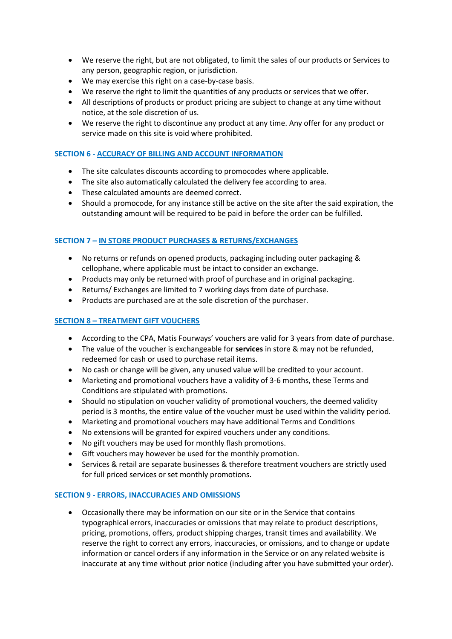- We reserve the right, but are not obligated, to limit the sales of our products or Services to any person, geographic region, or jurisdiction.
- We may exercise this right on a case-by-case basis.
- We reserve the right to limit the quantities of any products or services that we offer.
- All descriptions of products or product pricing are subject to change at any time without notice, at the sole discretion of us.
- We reserve the right to discontinue any product at any time. Any offer for any product or service made on this site is void where prohibited.

# **SECTION 6 - ACCURACY OF BILLING AND ACCOUNT INFORMATION**

- The site calculates discounts according to promocodes where applicable.
- The site also automatically calculated the delivery fee according to area.
- These calculated amounts are deemed correct.
- Should a promocode, for any instance still be active on the site after the said expiration, the outstanding amount will be required to be paid in before the order can be fulfilled.

### **SECTION 7 – IN STORE PRODUCT PURCHASES & RETURNS/EXCHANGES**

- No returns or refunds on opened products, packaging including outer packaging & cellophane, where applicable must be intact to consider an exchange.
- Products may only be returned with proof of purchase and in original packaging.
- Returns/ Exchanges are limited to 7 working days from date of purchase.
- Products are purchased are at the sole discretion of the purchaser.

# **SECTION 8 – TREATMENT GIFT VOUCHERS**

- According to the CPA, Matis Fourways' vouchers are valid for 3 years from date of purchase.
- The value of the voucher is exchangeable for **services** in store & may not be refunded, redeemed for cash or used to purchase retail items.
- No cash or change will be given, any unused value will be credited to your account.
- Marketing and promotional vouchers have a validity of 3-6 months, these Terms and Conditions are stipulated with promotions.
- Should no stipulation on voucher validity of promotional vouchers, the deemed validity period is 3 months, the entire value of the voucher must be used within the validity period.
- Marketing and promotional vouchers may have additional Terms and Conditions
- No extensions will be granted for expired vouchers under any conditions.
- No gift vouchers may be used for monthly flash promotions.
- Gift vouchers may however be used for the monthly promotion.
- Services & retail are separate businesses & therefore treatment vouchers are strictly used for full priced services or set monthly promotions.

#### **SECTION 9 - ERRORS, INACCURACIES AND OMISSIONS**

• Occasionally there may be information on our site or in the Service that contains typographical errors, inaccuracies or omissions that may relate to product descriptions, pricing, promotions, offers, product shipping charges, transit times and availability. We reserve the right to correct any errors, inaccuracies, or omissions, and to change or update information or cancel orders if any information in the Service or on any related website is inaccurate at any time without prior notice (including after you have submitted your order).